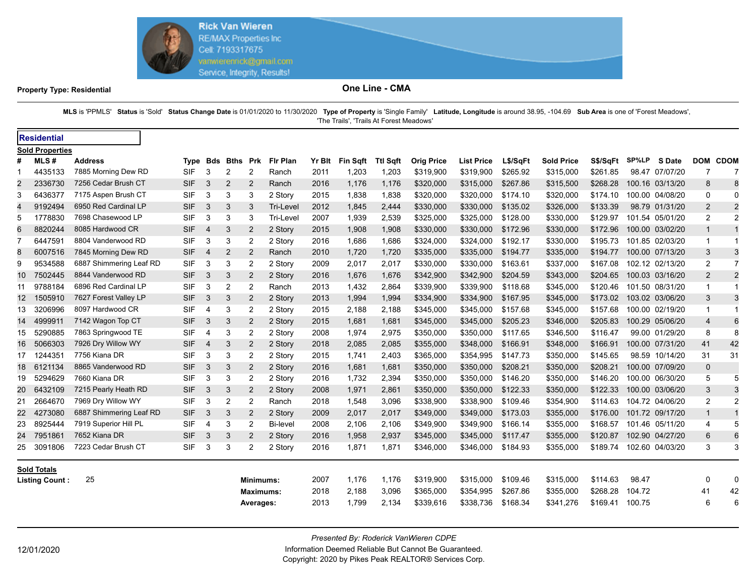

## **Property Type: Residential CMA**

MLS is 'PPMLS' Status is 'Sold' Status Change Date is 01/01/2020 to 11/30/2020 Type of Property is 'Single Family' Latitude, Longitude is around 38.95, -104.69 Sub Area is one of 'Forest Meadows', 'The Trails', 'Trails At Forest Meadows'

|                        | <b>Residential</b>    |                         |  |            |                |                |                  |                  |        |                 |                 |                   |                   |          |                   |          |        |                 |                |                |
|------------------------|-----------------------|-------------------------|--|------------|----------------|----------------|------------------|------------------|--------|-----------------|-----------------|-------------------|-------------------|----------|-------------------|----------|--------|-----------------|----------------|----------------|
| <b>Sold Properties</b> |                       |                         |  |            |                |                |                  |                  |        |                 |                 |                   |                   |          |                   |          |        |                 |                |                |
| #                      | MLS#                  | <b>Address</b>          |  |            | Type Bds       | <b>Bths</b>    | <b>Prk</b>       | <b>Fir Plan</b>  | Yr Blt | <b>Fin Sqft</b> | <b>Ttl Sgft</b> | <b>Orig Price</b> | <b>List Price</b> | L\$/SqFt | <b>Sold Price</b> | S\$/SqFt | SP%LP  | <b>S</b> Date   | <b>DOM</b>     | <b>CDOM</b>    |
|                        | 4435133               | 7885 Morning Dew RD     |  | SIF        | 3              | 2              | $\overline{2}$   | Ranch            | 2011   | 1,203           | 1,203           | \$319,900         | \$319,900         | \$265.92 | \$315,000         | \$261.85 |        | 98.47 07/07/20  | 7              | 7              |
| 2                      | 2336730               | 7256 Cedar Brush CT     |  | <b>SIF</b> | 3              | 2              | 2                | Ranch            | 2016   | 1,176           | 1,176           | \$320,000         | \$315,000         | \$267.86 | \$315,500         | \$268.28 |        | 100.16 03/13/20 | 8              | 8              |
| 3                      | 6436377               | 7175 Aspen Brush CT     |  | <b>SIF</b> | 3              | 3              | 3                | 2 Story          | 2015   | 1,838           | 1,838           | \$320,000         | \$320,000         | \$174.10 | \$320,000         | \$174.10 |        | 100.00 04/08/20 | 0              | $\Omega$       |
| 4                      | 9192494               | 6950 Red Cardinal LP    |  | <b>SIF</b> | 3              | 3              | 3                | <b>Tri-Level</b> | 2012   | 1,845           | 2,444           | \$330,000         | \$330,000         | \$135.02 | \$326,000         | \$133.39 |        | 98.79 01/31/20  | 2              | $\overline{2}$ |
| 5                      | 1778830               | 7698 Chasewood LP       |  | <b>SIF</b> | 3              | 3              | 3                | <b>Tri-Level</b> | 2007   | 1,939           | 2,539           | \$325,000         | \$325,000         | \$128.00 | \$330,000         | \$129.97 |        | 101.54 05/01/20 | 2              | $\overline{2}$ |
| 6                      | 8820244               | 8085 Hardwood CR        |  | <b>SIF</b> | $\overline{4}$ | 3              | 2                | 2 Story          | 2015   | 1,908           | 1,908           | \$330,000         | \$330,000         | \$172.96 | \$330,000         | \$172.96 |        | 100.00 03/02/20 | $\mathbf{1}$   |                |
|                        | 6447591               | 8804 Vanderwood RD      |  | <b>SIF</b> | 3              | 3              | 2                | 2 Story          | 2016   | 1,686           | 1,686           | \$324,000         | \$324,000         | \$192.17 | \$330,000         | \$195.73 |        | 101.85 02/03/20 | $\mathbf 1$    |                |
| 8                      | 6007516               | 7845 Morning Dew RD     |  | <b>SIF</b> | 4              | $\overline{2}$ | $\overline{2}$   | Ranch            | 2010   | 1,720           | 1,720           | \$335,000         | \$335,000         | \$194.77 | \$335,000         | \$194.77 |        | 100.00 07/13/20 | 3              | 3              |
| 9                      | 9534588               | 6887 Shimmering Leaf RD |  | <b>SIF</b> | 3              | 3              | 2                | 2 Story          | 2009   | 2,017           | 2,017           | \$330,000         | \$330,000         | \$163.61 | \$337,000         | \$167.08 |        | 102.12 02/13/20 | 2              | $\overline{7}$ |
| 10                     | 7502445               | 8844 Vanderwood RD      |  | <b>SIF</b> | 3              | 3              | 2                | 2 Story          | 2016   | 1,676           | 1,676           | \$342,900         | \$342,900         | \$204.59 | \$343,000         | \$204.65 |        | 100.03 03/16/20 | 2              | $\overline{2}$ |
| 11                     | 9788184               | 6896 Red Cardinal LP    |  | <b>SIF</b> | 3              | $\overline{2}$ | 2                | Ranch            | 2013   | 1,432           | 2,864           | \$339,900         | \$339,900         | \$118.68 | \$345,000         | \$120.46 |        | 101.50 08/31/20 | $\mathbf{1}$   |                |
| 12                     | 1505910               | 7627 Forest Valley LP   |  | <b>SIF</b> | 3              | 3              | $\overline{2}$   | 2 Story          | 2013   | 1,994           | 1,994           | \$334,900         | \$334,900         | \$167.95 | \$345,000         | \$173.02 |        | 103.02 03/06/20 | 3              | 3              |
| 13                     | 3206996               | 8097 Hardwood CR        |  | <b>SIF</b> | $\overline{4}$ | 3              | 2                | 2 Story          | 2015   | 2,188           | 2,188           | \$345,000         | \$345,000         | \$157.68 | \$345,000         | \$157.68 |        | 100.00 02/19/20 | $\mathbf 1$    | 1              |
| 14                     | 4999911               | 7142 Wagon Top CT       |  | <b>SIF</b> | 3              | 3              | 2                | 2 Story          | 2015   | 1,681           | 1,681           | \$345,000         | \$345,000         | \$205.23 | \$346,000         | \$205.83 |        | 100.29 05/06/20 | $\overline{4}$ | 6              |
| 15                     | 5290885               | 7863 Springwood TE      |  | <b>SIF</b> | 4              | 3              | 2                | 2 Story          | 2008   | 1,974           | 2,975           | \$350,000         | \$350,000         | \$117.65 | \$346,500         | \$116.47 |        | 99.00 01/29/20  | 8              | 8              |
| 16                     | 5066303               | 7926 Dry Willow WY      |  | <b>SIF</b> | -4             | 3              | 2                | 2 Story          | 2018   | 2,085           | 2,085           | \$355,000         | \$348,000         | \$166.91 | \$348,000         | \$166.91 |        | 100.00 07/31/20 | 41             | 42             |
| 17                     | 1244351               | 7756 Kiana DR           |  | <b>SIF</b> | 3              | 3              | 2                | 2 Story          | 2015   | 1,741           | 2,403           | \$365,000         | \$354,995         | \$147.73 | \$350,000         | \$145.65 |        | 98.59 10/14/20  | 31             | 31             |
| 18                     | 6121134               | 8865 Vanderwood RD      |  | <b>SIF</b> | 3              | 3              | 2                | 2 Story          | 2016   | 1,681           | 1,681           | \$350,000         | \$350,000         | \$208.21 | \$350,000         | \$208.21 |        | 100.00 07/09/20 | $\mathbf 0$    |                |
| 19                     | 5294629               | 7660 Kiana DR           |  | <b>SIF</b> | 3              | 3              | 2                | 2 Story          | 2016   | 1,732           | 2,394           | \$350,000         | \$350,000         | \$146.20 | \$350,000         | \$146.20 |        | 100.00 06/30/20 | 5              | 5              |
| 20                     | 6432109               | 7215 Pearly Heath RD    |  | <b>SIF</b> | 3              | 3              | 2                | 2 Story          | 2008   | 1,971           | 2,861           | \$350,000         | \$350,000         | \$122.33 | \$350,000         | \$122.33 |        | 100.00 03/06/20 | 3              | 3              |
| 21                     | 2664670               | 7969 Dry Willow WY      |  | <b>SIF</b> | 3              | 2              | 2                | Ranch            | 2018   | 1,548           | 3,096           | \$338,900         | \$338,900         | \$109.46 | \$354,900         | \$114.63 |        | 104.72 04/06/20 | 2              | 2              |
| 22.                    | 4273080               | 6887 Shimmering Leaf RD |  | <b>SIF</b> | 3              | 3              | 2                | 2 Story          | 2009   | 2,017           | 2,017           | \$349,000         | \$349,000         | \$173.03 | \$355,000         | \$176.00 |        | 101.72 09/17/20 | 1              |                |
| 23                     | 8925444               | 7919 Superior Hill PL   |  | <b>SIF</b> | 4              | 3              | 2                | <b>Bi-level</b>  | 2008   | 2,106           | 2,106           | \$349,900         | \$349,900         | \$166.14 | \$355,000         | \$168.57 |        | 101.46 05/11/20 | 4              | 5              |
| 24                     | 7951861               | 7652 Kiana DR           |  | <b>SIF</b> | 3              | 3              | 2                | 2 Story          | 2016   | 1,958           | 2,937           | \$345,000         | \$345,000         | \$117.47 | \$355,000         | \$120.87 |        | 102.90 04/27/20 | 6              | 6              |
| 25                     | 3091806               | 7223 Cedar Brush CT     |  | <b>SIF</b> | 3              | 3              | 2                | 2 Story          | 2016   | 1,871           | 1,871           | \$346,000         | \$346,000         | \$184.93 | \$355,000         | \$189.74 |        | 102.60 04/03/20 | 3              | 3              |
|                        | <b>Sold Totals</b>    |                         |  |            |                |                |                  |                  |        |                 |                 |                   |                   |          |                   |          |        |                 |                |                |
|                        | <b>Listing Count:</b> | 25                      |  |            |                |                | <b>Minimums:</b> |                  | 2007   | 1,176           | 1,176           | \$319,900         | \$315.000         | \$109.46 | \$315,000         | \$114.63 | 98.47  |                 | $\Omega$       | $\overline{0}$ |
|                        |                       |                         |  |            |                |                | <b>Maximums:</b> |                  | 2018   | 2,188           | 3,096           | \$365,000         | \$354,995         | \$267.86 | \$355,000         | \$268.28 | 104.72 |                 | 41             | 42             |
|                        |                       |                         |  |            |                |                | Averages:        |                  | 2013   | 1,799           | 2,134           | \$339,616         | \$338,736         | \$168.34 | \$341,276         | \$169.41 | 100.75 |                 | 6              | 6              |

*Presented By: Roderick VanWieren CDPE*

12/01/2020 Information Deemed Reliable But Cannot Be Guaranteed. Copyright: 2020 by Pikes Peak REALTOR® Services Corp.